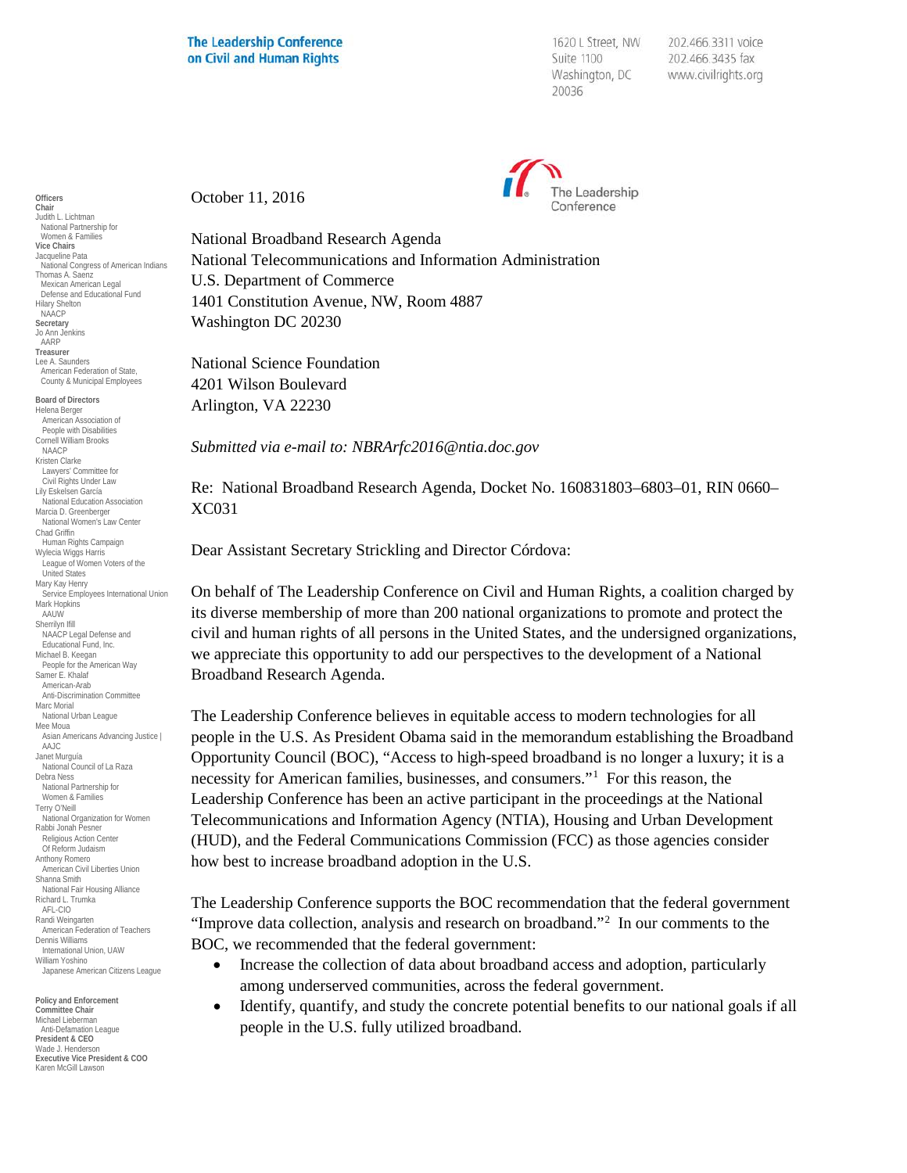1620 L Street, NW Suite 1100 Washington, DC 20036

202.466.3311 voice 202.466.3435 fax www.civilrights.org



October 11, 2016

National Broadband Research Agenda National Telecommunications and Information Administration U.S. Department of Commerce 1401 Constitution Avenue, NW, Room 4887 Washington DC 20230

National Science Foundation 4201 Wilson Boulevard Arlington, VA 22230

*Submitted via e-mail to: NBRArfc2016@ntia.doc.gov*

Re: National Broadband Research Agenda, Docket No. 160831803–6803–01, RIN 0660– XC031

Dear Assistant Secretary Strickling and Director Córdova:

On behalf of The Leadership Conference on Civil and Human Rights, a coalition charged by its diverse membership of more than 200 national organizations to promote and protect the civil and human rights of all persons in the United States, and the undersigned organizations, we appreciate this opportunity to add our perspectives to the development of a National Broadband Research Agenda.

The Leadership Conference believes in equitable access to modern technologies for all people in the U.S. As President Obama said in the memorandum establishing the Broadband Opportunity Council (BOC), "Access to high-speed broadband is no longer a luxury; it is a necessity for American families, businesses, and consumers."[1](#page-8-0) For this reason, the Leadership Conference has been an active participant in the proceedings at the National Telecommunications and Information Agency (NTIA), Housing and Urban Development (HUD), and the Federal Communications Commission (FCC) as those agencies consider how best to increase broadband adoption in the U.S.

The Leadership Conference supports the BOC recommendation that the federal government "Improve data collection, analysis and research on broadband."<sup>[2](#page-8-1)</sup> In our comments to the BOC, we recommended that the federal government:

- Increase the collection of data about broadband access and adoption, particularly among underserved communities, across the federal government.
- Identify, quantify, and study the concrete potential benefits to our national goals if all people in the U.S. fully utilized broadband.

**Officers Chair** Judith L. Lichtman National Partnership for Women & Families **Vice Chairs** Jacqueline Pata National Congress of American Indians Thomas A. Saenz Mexican American Legal Defense and Educational Fund Hilary Shelton NAACP **Secretary** Jo Ann Jenkins AARP **Treasurer** Lee A. Saunders American Federation of State, County & Municipal Employees **Board of Directors** Helena Berger American Association of People with Disabilities Cornell William Brooks NAACP Kristen Clarke Lawyers' Committee for Civil Rights Under Law Lily Eskelsen García National Education Association Marcia D. Greenberger National Women's Law Center Chad Griffin Human Rights Campaign Wylecia Wiggs Harris League of Women Voters of the United States Mary Kay Henry Service Employees International Union Mark Hopkins AAUW Sherrilyn Ifill NAACP Legal Defense and Educational Fund, Inc. Michael B. Keegan People for the American Way Samer E. Khalaf American-Arab Anti-Discrimination Committee Marc Morial National Urban League Mee Moua Asian Americans Advancing Justice | AAJC Janet Murguía National Council of La Raza Debra Ness National Partnership for Women & Families Terry O'Neill National Organization for Women Rabbi Jonah Pesner Religious Action Center Of Reform Judaism Anthony Romero American Civil Liberties Union Shanna Smith National Fair Housing Alliance Richard L. Trumka AFL-CIO Randi Weingarten American Federation of Teachers Dennis Williams International Union, UAW William Yoshino Japanese American Citizens League

**Policy and Enforcement Committee Chair** Michael Lieberman Anti-Defamation League **President & CEO** Wade J. Henderson **Executive Vice President & COO** Karen McGill Lawson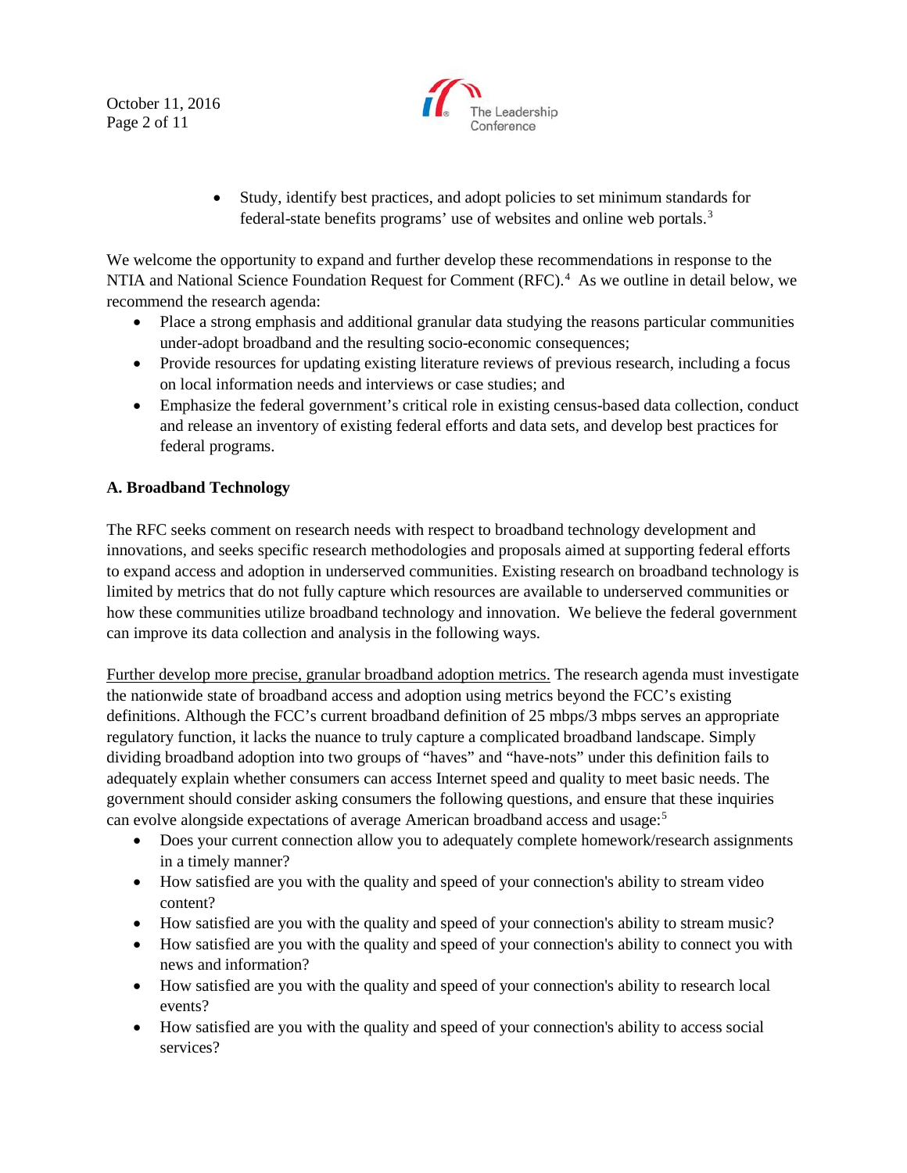October 11, 2016 Page 2 of 11



• Study, identify best practices, and adopt policies to set minimum standards for federal-state benefits programs' use of websites and online web portals.[3](#page-9-0)

We welcome the opportunity to expand and further develop these recommendations in response to the NTIA and National Science Foundation Request for Comment (RFC).<sup>4</sup> As we outline in detail below, we recommend the research agenda:

- Place a strong emphasis and additional granular data studying the reasons particular communities under-adopt broadband and the resulting socio-economic consequences;
- Provide resources for updating existing literature reviews of previous research, including a focus on local information needs and interviews or case studies; and
- Emphasize the federal government's critical role in existing census-based data collection, conduct and release an inventory of existing federal efforts and data sets, and develop best practices for federal programs.

## **A. Broadband Technology**

The RFC seeks comment on research needs with respect to broadband technology development and innovations, and seeks specific research methodologies and proposals aimed at supporting federal efforts to expand access and adoption in underserved communities. Existing research on broadband technology is limited by metrics that do not fully capture which resources are available to underserved communities or how these communities utilize broadband technology and innovation. We believe the federal government can improve its data collection and analysis in the following ways.

Further develop more precise, granular broadband adoption metrics. The research agenda must investigate the nationwide state of broadband access and adoption using metrics beyond the FCC's existing definitions. Although the FCC's current broadband definition of 25 mbps/3 mbps serves an appropriate regulatory function, it lacks the nuance to truly capture a complicated broadband landscape. Simply dividing broadband adoption into two groups of "haves" and "have-nots" under this definition fails to adequately explain whether consumers can access Internet speed and quality to meet basic needs. The government should consider asking consumers the following questions, and ensure that these inquiries can evolve alongside expectations of average American broadband access and usage: [5](#page-9-2)

- Does your current connection allow you to adequately complete homework/research assignments in a timely manner?
- How satisfied are you with the quality and speed of your connection's ability to stream video content?
- How satisfied are you with the quality and speed of your connection's ability to stream music?
- How satisfied are you with the quality and speed of your connection's ability to connect you with news and information?
- How satisfied are you with the quality and speed of your connection's ability to research local events?
- How satisfied are you with the quality and speed of your connection's ability to access social services?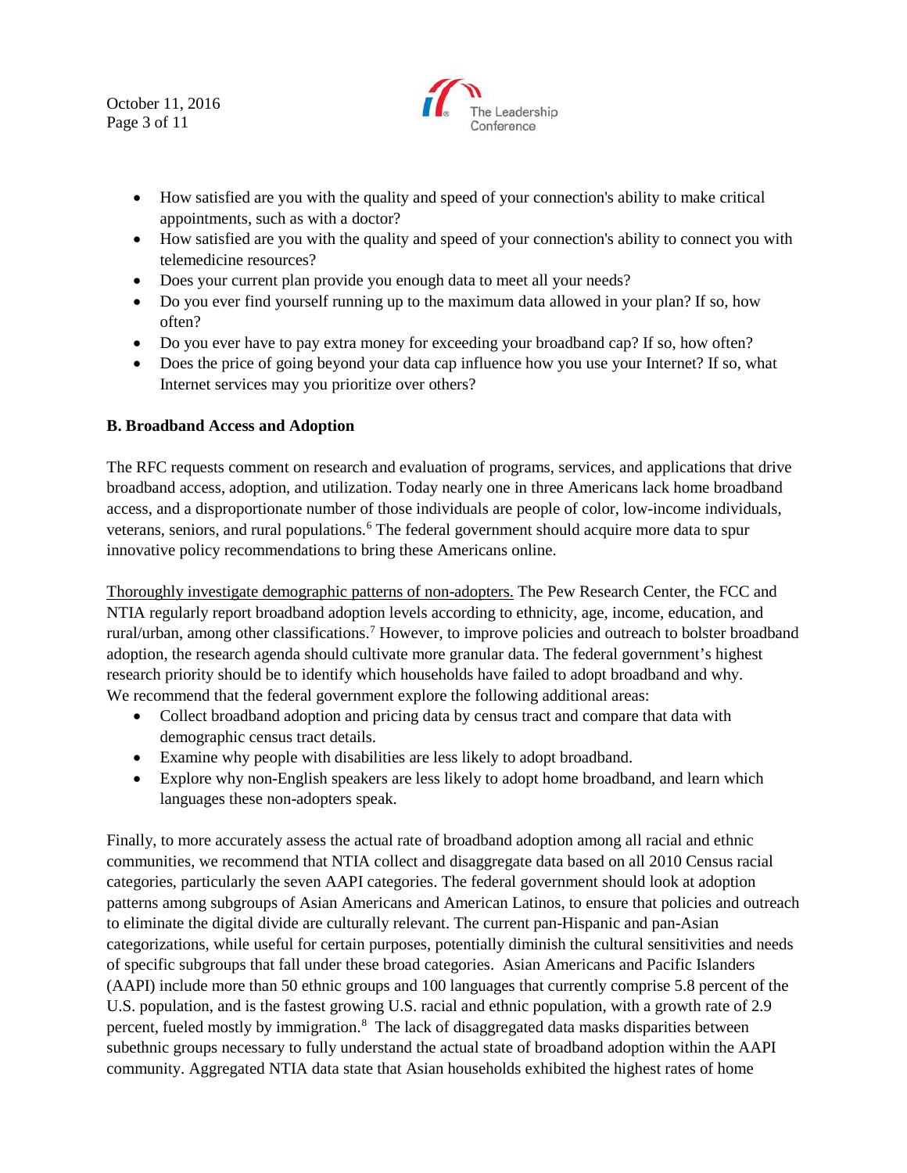October 11, 2016 Page 3 of 11



- How satisfied are you with the quality and speed of your connection's ability to make critical appointments, such as with a doctor?
- How satisfied are you with the quality and speed of your connection's ability to connect you with telemedicine resources?
- Does your current plan provide you enough data to meet all your needs?
- Do you ever find yourself running up to the maximum data allowed in your plan? If so, how often?
- Do you ever have to pay extra money for exceeding your broadband cap? If so, how often?
- Does the price of going beyond your data cap influence how you use your Internet? If so, what Internet services may you prioritize over others?

## **B. Broadband Access and Adoption**

The RFC requests comment on research and evaluation of programs, services, and applications that drive broadband access, adoption, and utilization. Today nearly one in three Americans lack home broadband access, and a disproportionate number of those individuals are people of color, low-income individuals, veterans, seniors, and rural populations.<sup>[6](#page-10-0)</sup> The federal government should acquire more data to spur innovative policy recommendations to bring these Americans online.

Thoroughly investigate demographic patterns of non-adopters. The Pew Research Center, the FCC and NTIA regularly report broadband adoption levels according to ethnicity, age, income, education, and rural/urban, among other classifications.<sup>[7](#page-10-1)</sup> However, to improve policies and outreach to bolster broadband adoption, the research agenda should cultivate more granular data. The federal government's highest research priority should be to identify which households have failed to adopt broadband and why. We recommend that the federal government explore the following additional areas:

- Collect broadband adoption and pricing data by census tract and compare that data with demographic census tract details.
- Examine why people with disabilities are less likely to adopt broadband.
- Explore why non-English speakers are less likely to adopt home broadband, and learn which languages these non-adopters speak.

Finally, to more accurately assess the actual rate of broadband adoption among all racial and ethnic communities, we recommend that NTIA collect and disaggregate data based on all 2010 Census racial categories, particularly the seven AAPI categories. The federal government should look at adoption patterns among subgroups of Asian Americans and American Latinos, to ensure that policies and outreach to eliminate the digital divide are culturally relevant. The current pan-Hispanic and pan-Asian categorizations, while useful for certain purposes, potentially diminish the cultural sensitivities and needs of specific subgroups that fall under these broad categories. Asian Americans and Pacific Islanders (AAPI) include more than 50 ethnic groups and 100 languages that currently comprise 5.8 percent of the U.S. population, and is the fastest growing U.S. racial and ethnic population, with a growth rate of 2.9 percent, fueled mostly by immigration.<sup>[8](#page-10-2)</sup> The lack of disaggregated data masks disparities between subethnic groups necessary to fully understand the actual state of broadband adoption within the AAPI community. Aggregated NTIA data state that Asian households exhibited the highest rates of home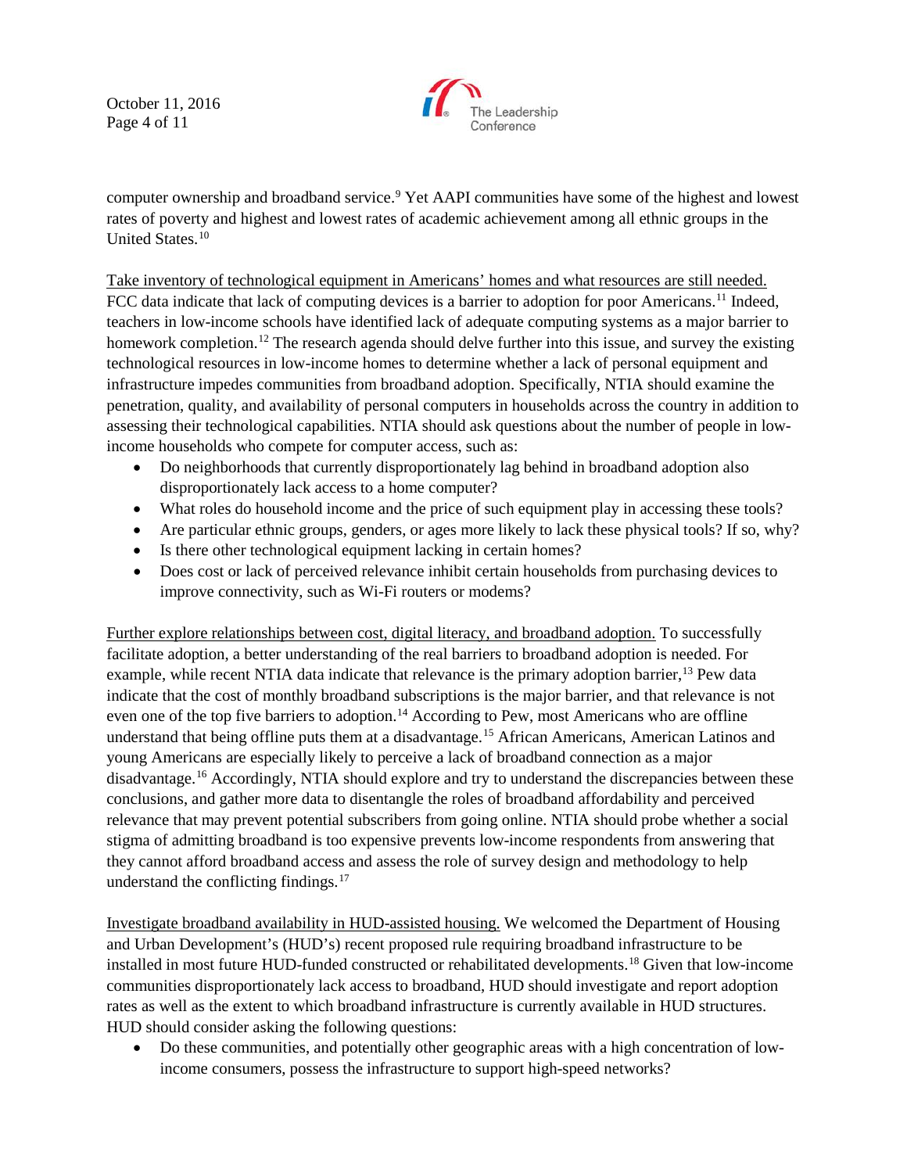October 11, 2016 Page 4 of 11



computer ownership and broadband service.<sup>[9](#page-10-3)</sup> Yet AAPI communities have some of the highest and lowest rates of poverty and highest and lowest rates of academic achievement among all ethnic groups in the United States.[10](#page-10-4)

Take inventory of technological equipment in Americans' homes and what resources are still needed. FCC data indicate that lack of computing devices is a barrier to adoption for poor Americans.<sup>[11](#page-10-5)</sup> Indeed, teachers in low-income schools have identified lack of adequate computing systems as a major barrier to homework completion.<sup>[12](#page-10-6)</sup> The research agenda should delve further into this issue, and survey the existing technological resources in low-income homes to determine whether a lack of personal equipment and infrastructure impedes communities from broadband adoption. Specifically, NTIA should examine the penetration, quality, and availability of personal computers in households across the country in addition to assessing their technological capabilities. NTIA should ask questions about the number of people in lowincome households who compete for computer access, such as:

- Do neighborhoods that currently disproportionately lag behind in broadband adoption also disproportionately lack access to a home computer?
- What roles do household income and the price of such equipment play in accessing these tools?
- Are particular ethnic groups, genders, or ages more likely to lack these physical tools? If so, why?
- Is there other technological equipment lacking in certain homes?
- Does cost or lack of perceived relevance inhibit certain households from purchasing devices to improve connectivity, such as Wi-Fi routers or modems?

Further explore relationships between cost, digital literacy, and broadband adoption. To successfully facilitate adoption, a better understanding of the real barriers to broadband adoption is needed. For example, while recent NTIA data indicate that relevance is the primary adoption barrier,<sup>[13](#page-10-7)</sup> Pew data indicate that the cost of monthly broadband subscriptions is the major barrier, and that relevance is not even one of the top five barriers to adoption.<sup>[14](#page-10-8)</sup> According to Pew, most Americans who are offline understand that being offline puts them at a disadvantage.<sup>[15](#page-10-9)</sup> African Americans, American Latinos and young Americans are especially likely to perceive a lack of broadband connection as a major disadvantage.<sup>[16](#page-10-10)</sup> Accordingly, NTIA should explore and try to understand the discrepancies between these conclusions, and gather more data to disentangle the roles of broadband affordability and perceived relevance that may prevent potential subscribers from going online. NTIA should probe whether a social stigma of admitting broadband is too expensive prevents low-income respondents from answering that they cannot afford broadband access and assess the role of survey design and methodology to help understand the conflicting findings. $17$ 

Investigate broadband availability in HUD-assisted housing. We welcomed the Department of Housing and Urban Development's (HUD's) recent proposed rule requiring broadband infrastructure to be installed in most future HUD-funded constructed or rehabilitated developments.[18](#page-10-12) Given that low-income communities disproportionately lack access to broadband, HUD should investigate and report adoption rates as well as the extent to which broadband infrastructure is currently available in HUD structures. HUD should consider asking the following questions:

• Do these communities, and potentially other geographic areas with a high concentration of lowincome consumers, possess the infrastructure to support high-speed networks?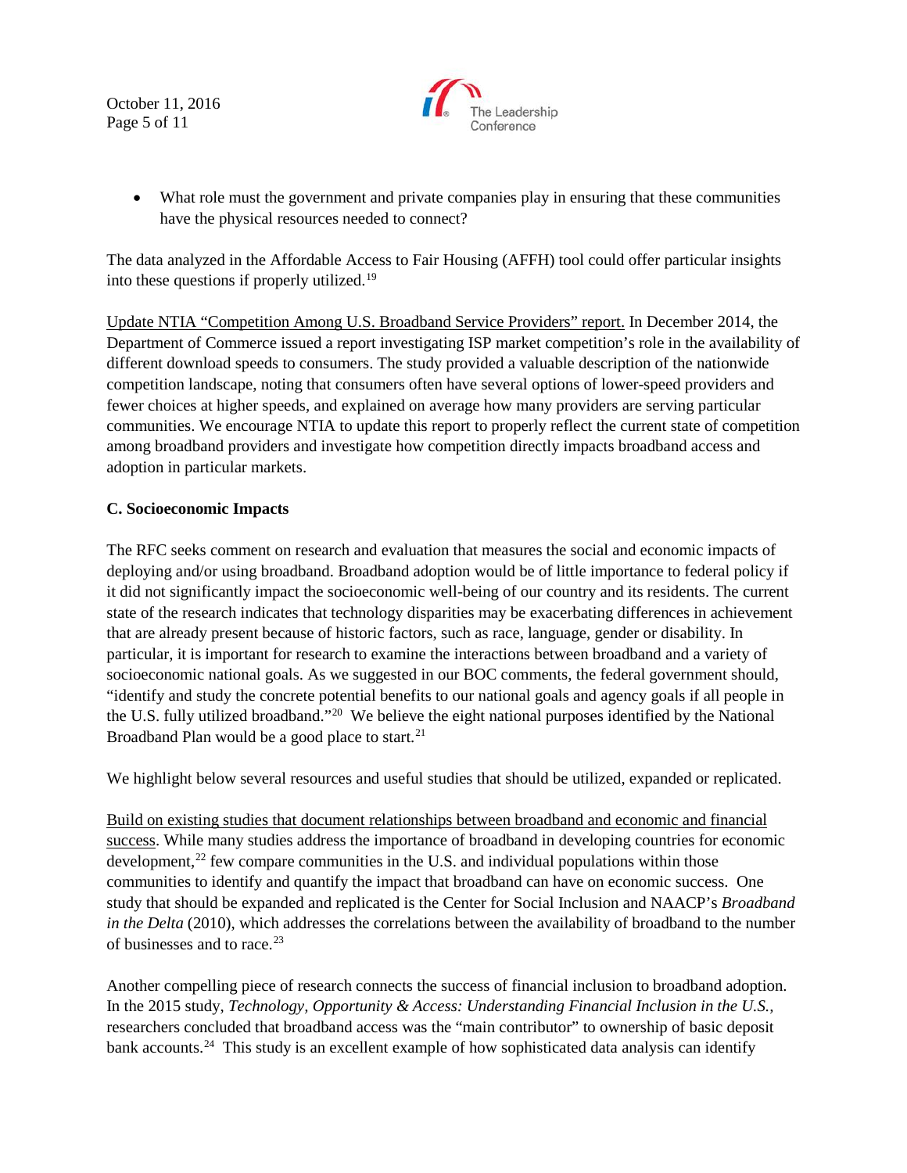October 11, 2016 Page 5 of 11



• What role must the government and private companies play in ensuring that these communities have the physical resources needed to connect?

The data analyzed in the Affordable Access to Fair Housing (AFFH) tool could offer particular insights into these questions if properly utilized.[19](#page-10-13)

Update NTIA "Competition Among U.S. Broadband Service Providers" report. In December 2014, the Department of Commerce issued a report investigating ISP market competition's role in the availability of different download speeds to consumers. The study provided a valuable description of the nationwide competition landscape, noting that consumers often have several options of lower-speed providers and fewer choices at higher speeds, and explained on average how many providers are serving particular communities. We encourage NTIA to update this report to properly reflect the current state of competition among broadband providers and investigate how competition directly impacts broadband access and adoption in particular markets.

## **C. Socioeconomic Impacts**

The RFC seeks comment on research and evaluation that measures the social and economic impacts of deploying and/or using broadband. Broadband adoption would be of little importance to federal policy if it did not significantly impact the socioeconomic well-being of our country and its residents. The current state of the research indicates that technology disparities may be exacerbating differences in achievement that are already present because of historic factors, such as race, language, gender or disability. In particular, it is important for research to examine the interactions between broadband and a variety of socioeconomic national goals. As we suggested in our BOC comments, the federal government should, "identify and study the concrete potential benefits to our national goals and agency goals if all people in the U.S. fully utilized broadband."[20](#page-10-14) We believe the eight national purposes identified by the National Broadband Plan would be a good place to start. $21$ 

We highlight below several resources and useful studies that should be utilized, expanded or replicated.

Build on existing studies that document relationships between broadband and economic and financial success. While many studies address the importance of broadband in developing countries for economic development,<sup>[22](#page-10-16)</sup> few compare communities in the U.S. and individual populations within those communities to identify and quantify the impact that broadband can have on economic success. One study that should be expanded and replicated is the Center for Social Inclusion and NAACP's *Broadband in the Delta* (2010), which addresses the correlations between the availability of broadband to the number of businesses and to race.<sup>23</sup>

Another compelling piece of research connects the success of financial inclusion to broadband adoption. In the 2015 study, *Technology, Opportunity & Access: Understanding Financial Inclusion in the U.S.,*  researchers concluded that broadband access was the "main contributor" to ownership of basic deposit bank accounts.<sup>24</sup> This study is an excellent example of how sophisticated data analysis can identify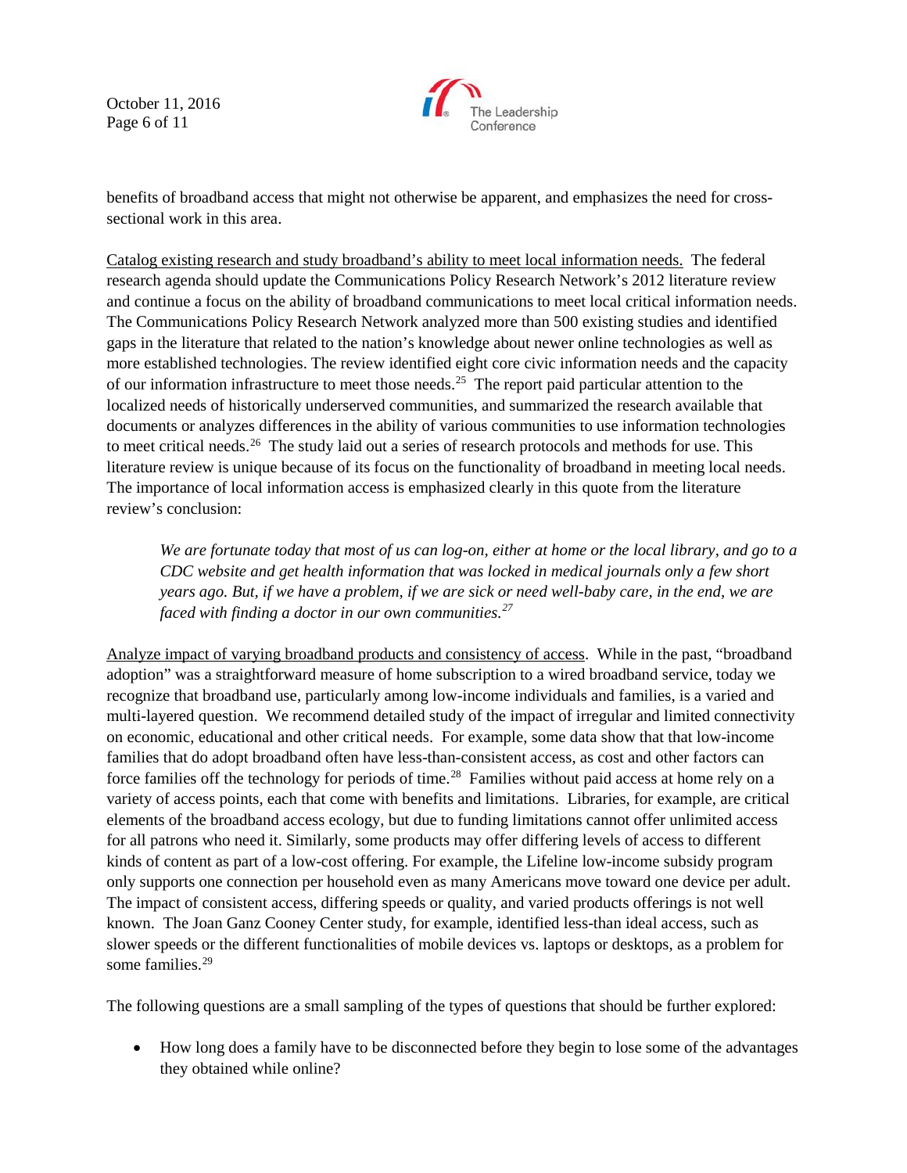October 11, 2016 Page 6 of 11



benefits of broadband access that might not otherwise be apparent, and emphasizes the need for crosssectional work in this area.

Catalog existing research and study broadband's ability to meet local information needs. The federal research agenda should update the Communications Policy Research Network's 2012 literature review and continue a focus on the ability of broadband communications to meet local critical information needs. The Communications Policy Research Network analyzed more than 500 existing studies and identified gaps in the literature that related to the nation's knowledge about newer online technologies as well as more established technologies. The review identified eight core civic information needs and the capacity of our information infrastructure to meet those needs.[25](#page-10-19) The report paid particular attention to the localized needs of historically underserved communities, and summarized the research available that documents or analyzes differences in the ability of various communities to use information technologies to meet critical needs.<sup>[26](#page-10-20)</sup> The study laid out a series of research protocols and methods for use. This literature review is unique because of its focus on the functionality of broadband in meeting local needs. The importance of local information access is emphasized clearly in this quote from the literature review's conclusion:

*We are fortunate today that most of us can log-on, either at home or the local library, and go to a CDC website and get health information that was locked in medical journals only a few short years ago. But, if we have a problem, if we are sick or need well-baby care, in the end, we are faced with finding a doctor in our own communities.[27](#page-10-21)*

Analyze impact of varying broadband products and consistency of access. While in the past, "broadband adoption" was a straightforward measure of home subscription to a wired broadband service, today we recognize that broadband use, particularly among low-income individuals and families, is a varied and multi-layered question. We recommend detailed study of the impact of irregular and limited connectivity on economic, educational and other critical needs. For example, some data show that that low-income families that do adopt broadband often have less-than-consistent access, as cost and other factors can force families off the technology for periods of time.<sup>[28](#page-10-22)</sup> Families without paid access at home rely on a variety of access points, each that come with benefits and limitations. Libraries, for example, are critical elements of the broadband access ecology, but due to funding limitations cannot offer unlimited access for all patrons who need it. Similarly, some products may offer differing levels of access to different kinds of content as part of a low-cost offering. For example, the Lifeline low-income subsidy program only supports one connection per household even as many Americans move toward one device per adult. The impact of consistent access, differing speeds or quality, and varied products offerings is not well known. The Joan Ganz Cooney Center study, for example, identified less-than ideal access, such as slower speeds or the different functionalities of mobile devices vs. laptops or desktops, as a problem for some families. [29](#page-10-23)

The following questions are a small sampling of the types of questions that should be further explored:

• How long does a family have to be disconnected before they begin to lose some of the advantages they obtained while online?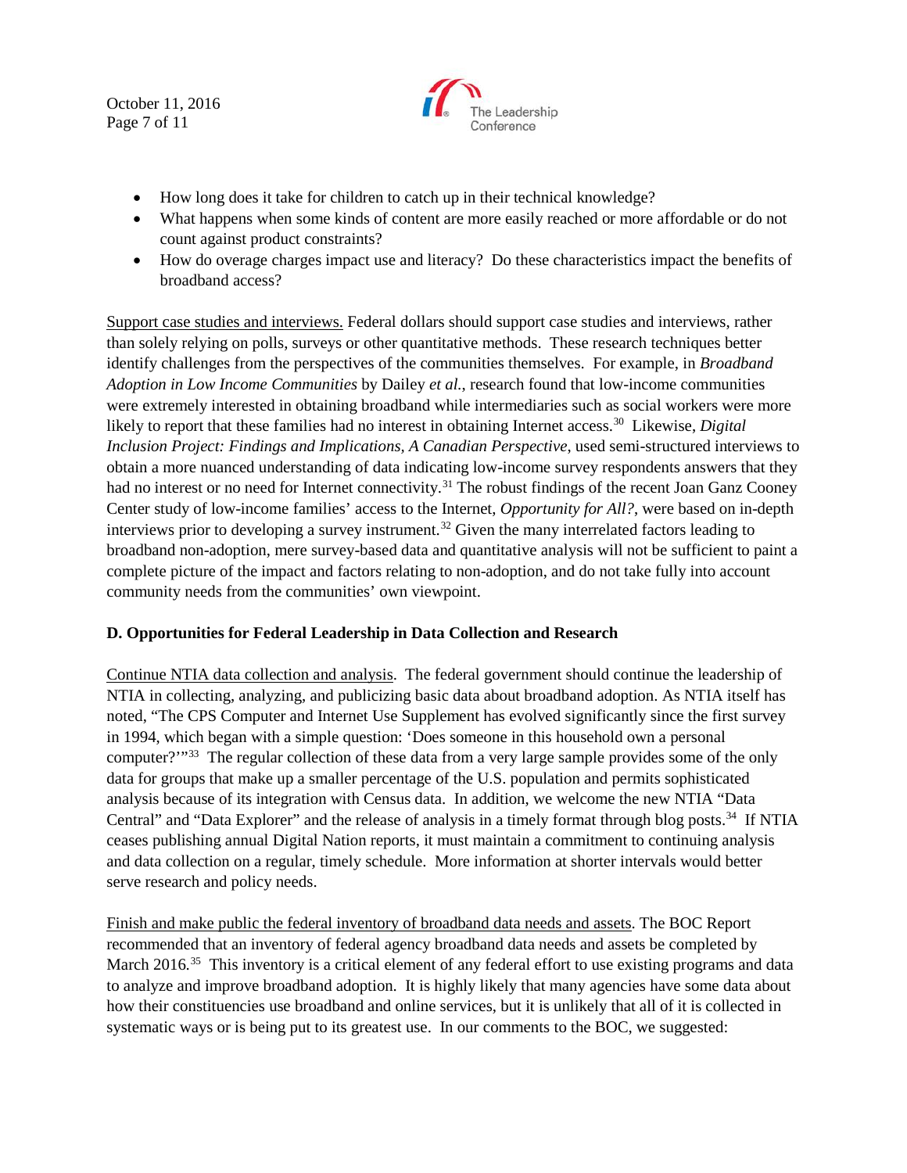October 11, 2016 Page 7 of 11



- How long does it take for children to catch up in their technical knowledge?
- What happens when some kinds of content are more easily reached or more affordable or do not count against product constraints?
- How do overage charges impact use and literacy? Do these characteristics impact the benefits of broadband access?

Support case studies and interviews. Federal dollars should support case studies and interviews, rather than solely relying on polls, surveys or other quantitative methods. These research techniques better identify challenges from the perspectives of the communities themselves. For example, in *Broadband Adoption in Low Income Communities* by Dailey *et al.*, research found that low-income communities were extremely interested in obtaining broadband while intermediaries such as social workers were more likely to report that these families had no interest in obtaining Internet access.<sup>30</sup> Likewise, *Digital Inclusion Project: Findings and Implications, A Canadian Perspective*, used semi-structured interviews to obtain a more nuanced understanding of data indicating low-income survey respondents answers that they had no interest or no need for Internet connectivity.<sup>[31](#page-10-25)</sup> The robust findings of the recent Joan Ganz Cooney Center study of low-income families' access to the Internet, *Opportunity for All?*, were based on in-depth interviews prior to developing a survey instrument.<sup>[32](#page-10-26)</sup> Given the many interrelated factors leading to broadband non-adoption, mere survey-based data and quantitative analysis will not be sufficient to paint a complete picture of the impact and factors relating to non-adoption, and do not take fully into account community needs from the communities' own viewpoint.

## **D. Opportunities for Federal Leadership in Data Collection and Research**

Continue NTIA data collection and analysis. The federal government should continue the leadership of NTIA in collecting, analyzing, and publicizing basic data about broadband adoption. As NTIA itself has noted, "The CPS Computer and Internet Use Supplement has evolved significantly since the first survey in 1994, which began with a simple question: 'Does someone in this household own a personal computer?'"<sup>33</sup> The regular collection of these data from a very large sample provides some of the only data for groups that make up a smaller percentage of the U.S. population and permits sophisticated analysis because of its integration with Census data. In addition, we welcome the new NTIA "Data Central" and "Data Explorer" and the release of analysis in a timely format through blog posts.<sup>34</sup> If NTIA ceases publishing annual Digital Nation reports, it must maintain a commitment to continuing analysis and data collection on a regular, timely schedule. More information at shorter intervals would better serve research and policy needs.

Finish and make public the federal inventory of broadband data needs and assets. The BOC Report recommended that an inventory of federal agency broadband data needs and assets be completed by March 2016.<sup>35</sup> This inventory is a critical element of any federal effort to use existing programs and data to analyze and improve broadband adoption. It is highly likely that many agencies have some data about how their constituencies use broadband and online services, but it is unlikely that all of it is collected in systematic ways or is being put to its greatest use. In our comments to the BOC, we suggested: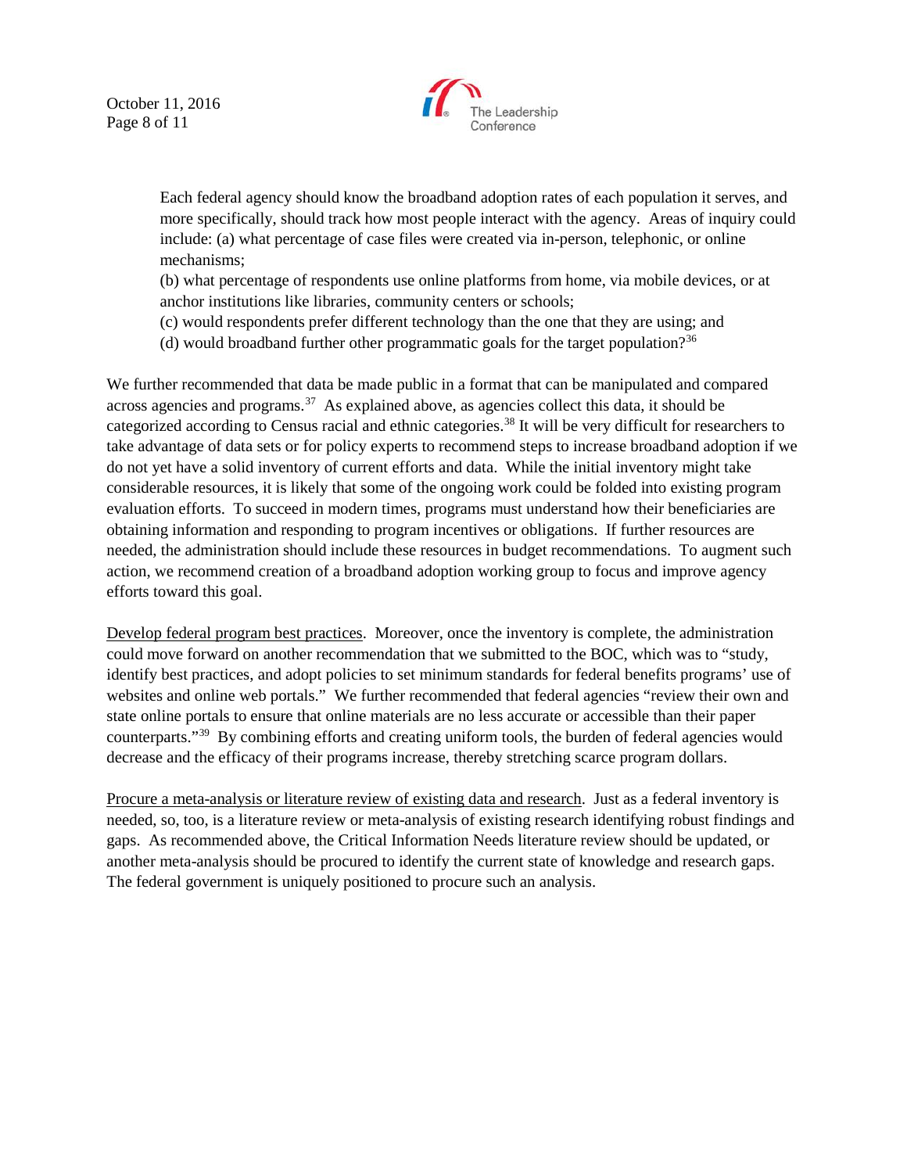October 11, 2016 Page 8 of 11



Each federal agency should know the broadband adoption rates of each population it serves, and more specifically, should track how most people interact with the agency. Areas of inquiry could include: (a) what percentage of case files were created via in-person, telephonic, or online mechanisms;

(b) what percentage of respondents use online platforms from home, via mobile devices, or at anchor institutions like libraries, community centers or schools;

(c) would respondents prefer different technology than the one that they are using; and

(d) would broadband further other programmatic goals for the target population?<sup>36</sup>

We further recommended that data be made public in a format that can be manipulated and compared across agencies and programs. $37$  As explained above, as agencies collect this data, it should be categorized according to Census racial and ethnic categories.[38](#page-10-32) It will be very difficult for researchers to take advantage of data sets or for policy experts to recommend steps to increase broadband adoption if we do not yet have a solid inventory of current efforts and data. While the initial inventory might take considerable resources, it is likely that some of the ongoing work could be folded into existing program evaluation efforts. To succeed in modern times, programs must understand how their beneficiaries are obtaining information and responding to program incentives or obligations. If further resources are needed, the administration should include these resources in budget recommendations. To augment such action, we recommend creation of a broadband adoption working group to focus and improve agency efforts toward this goal.

Develop federal program best practices. Moreover, once the inventory is complete, the administration could move forward on another recommendation that we submitted to the BOC, which was to "study, identify best practices, and adopt policies to set minimum standards for federal benefits programs' use of websites and online web portals." We further recommended that federal agencies "review their own and state online portals to ensure that online materials are no less accurate or accessible than their paper counterparts."[39](#page-10-33) By combining efforts and creating uniform tools, the burden of federal agencies would decrease and the efficacy of their programs increase, thereby stretching scarce program dollars.

Procure a meta-analysis or literature review of existing data and research. Just as a federal inventory is needed, so, too, is a literature review or meta-analysis of existing research identifying robust findings and gaps. As recommended above, the Critical Information Needs literature review should be updated, or another meta-analysis should be procured to identify the current state of knowledge and research gaps. The federal government is uniquely positioned to procure such an analysis.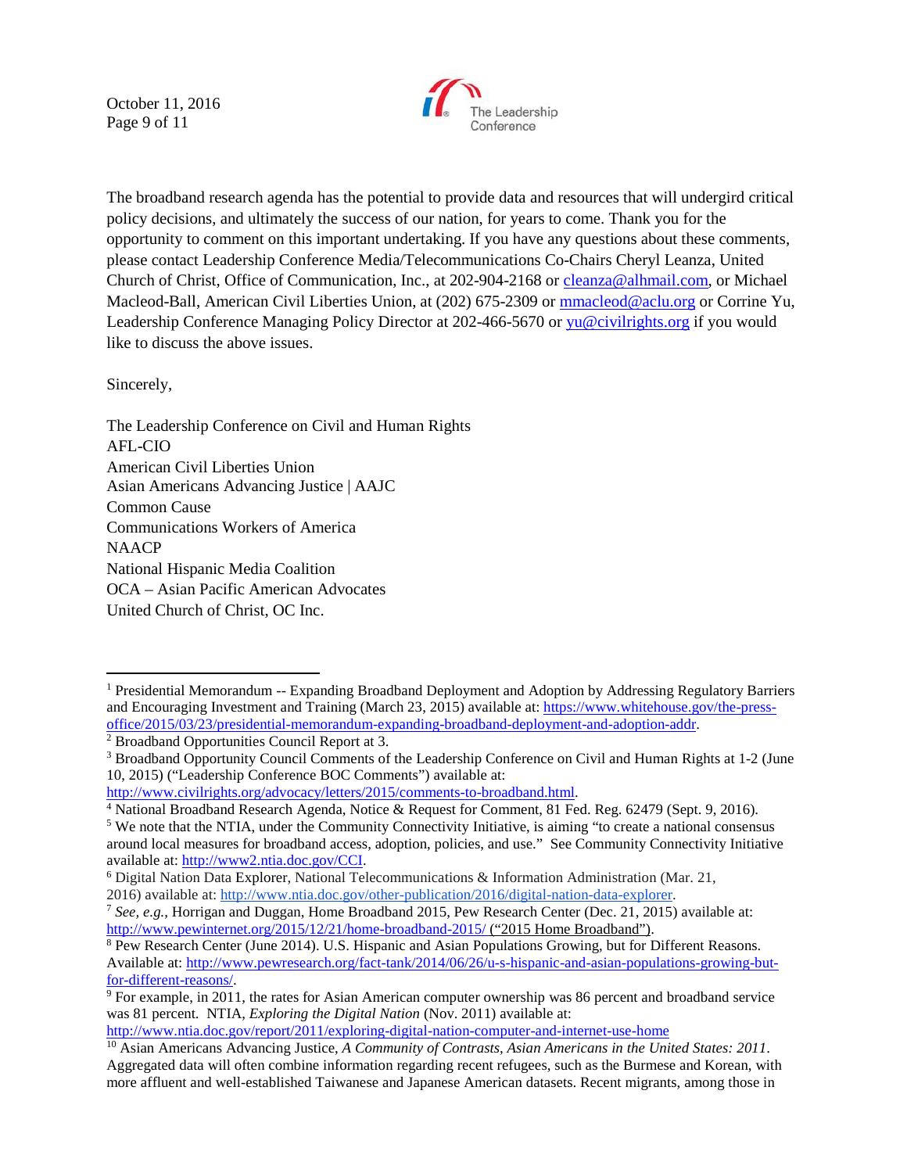October 11, 2016 Page 9 of 11



The broadband research agenda has the potential to provide data and resources that will undergird critical policy decisions, and ultimately the success of our nation, for years to come. Thank you for the opportunity to comment on this important undertaking. If you have any questions about these comments, please contact Leadership Conference Media/Telecommunications Co-Chairs Cheryl Leanza, United Church of Christ, Office of Communication, Inc., at 202-904-2168 or [cleanza@alhmail.com,](mailto:cleanza@alhmail.com) or Michael Macleod-Ball, American Civil Liberties Union, at (202) 675-2309 or [mmacleod@aclu.org](mailto:mmacleod@aclu.org) or Corrine Yu, Leadership Conference Managing Policy Director at 202-466-5670 or [yu@civilrights.org](mailto:yu@civilrights.org) if you would like to discuss the above issues.

Sincerely,

 $\overline{a}$ 

The Leadership Conference on Civil and Human Rights AFL-CIO American Civil Liberties Union Asian Americans Advancing Justice | AAJC Common Cause Communications Workers of America **NAACP** National Hispanic Media Coalition OCA – Asian Pacific American Advocates United Church of Christ, OC Inc.

<http://www.ntia.doc.gov/report/2011/exploring-digital-nation-computer-and-internet-use-home>

<span id="page-8-0"></span><sup>&</sup>lt;sup>1</sup> Presidential Memorandum -- Expanding Broadband Deployment and Adoption by Addressing Regulatory Barriers and Encouraging Investment and Training (March 23, 2015) available at: [https://www.whitehouse.gov/the-press](https://www.whitehouse.gov/the-press-office/2015/03/23/presidential-memorandum-expanding-broadband-deployment-and-adoption-addr)[office/2015/03/23/presidential-memorandum-expanding-broadband-deployment-and-adoption-addr.](https://www.whitehouse.gov/the-press-office/2015/03/23/presidential-memorandum-expanding-broadband-deployment-and-adoption-addr) 2 Broadband Opportunities Council Report at 3.

<span id="page-8-1"></span>

<sup>3</sup> Broadband Opportunity Council Comments of the Leadership Conference on Civil and Human Rights at 1-2 (June 10, 2015) ("Leadership Conference BOC Comments") available at:

http://www.civilrights.org/advocacy/letters/2015/comments-to-broadband.html.<br><sup>4</sup> National Broadband Research Agenda, Notice & Request for Comment, 81 Fed. Reg. 62479 (Sept. 9, 2016).<br><sup>5</sup> We note that the NTIA, under the Co

around local measures for broadband access, adoption, policies, and use." See Community Connectivity Initiative available at: [http://www2.ntia.doc.gov/CCI.](http://www2.ntia.doc.gov/CCI)<br><sup>6</sup> Digital Nation Data Explorer, National Telecommunications & Information Administration (Mar. 21,

<sup>2016)</sup> available at: [http://www.ntia.doc.gov/other-publication/2016/digital-nation-data-explorer.](http://www.ntia.doc.gov/other-publication/2016/digital-nation-data-explorer)

<sup>&</sup>lt;sup>7</sup> See, e.g., Horrigan and Duggan, Home Broadband 2015, Pew Research Center (Dec. 21, 2015) available at: http://www.pewinternet.org/2015/12/21/home-broadband-2015/ ("2015 Home Broadband").

 $\frac{8}{8}$  Pew Research Center (June 2014). U.S. Hispanic and Asian Populations Growing, but for Different Reasons. Available at: http://www.pewresearch.org/fact-tank/2014/06/26/u-s-hispanic-and-asian-populations-growing-but-<br>for-different-reasons/.

 $9$  For example, in 2011, the rates for Asian American computer ownership was 86 percent and broadband service was 81 percent. NTIA, *Exploring the Digital Nation* (Nov. 2011) available at:

<sup>10</sup> Asian Americans Advancing Justice, *A Community of Contrasts, Asian Americans in the United States: 2011*. Aggregated data will often combine information regarding recent refugees, such as the Burmese and Korean, with more affluent and well-established Taiwanese and Japanese American datasets. Recent migrants, among those in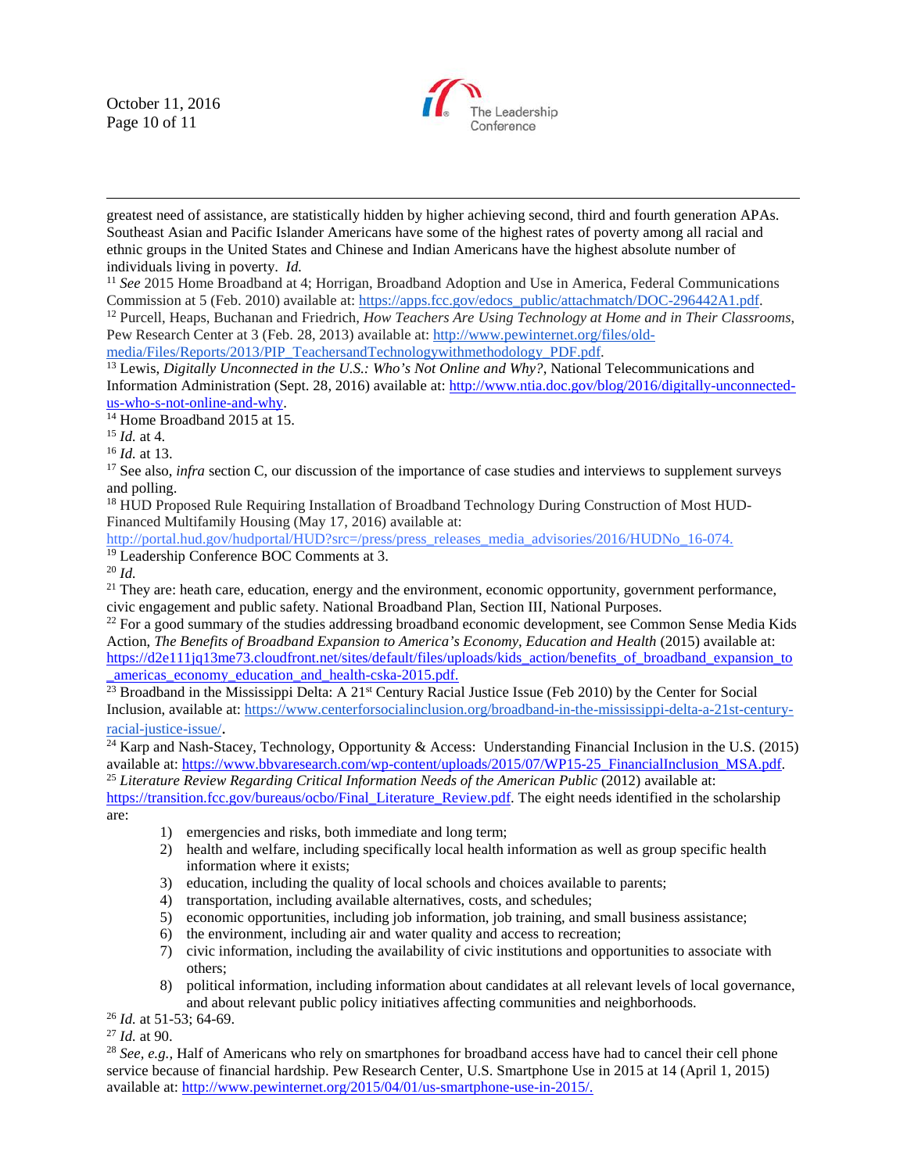October 11, 2016 Page 10 of 11

 $\overline{a}$ 



<sup>11</sup> See 2015 Home Broadband at 4; Horrigan, Broadband Adoption and Use in America, Federal Communications Commission at 5 (Feb. 2010) available at: [https://apps.fcc.gov/edocs\\_public/attachmatch/DOC-296442A1.pdf.](https://apps.fcc.gov/edocs_public/attachmatch/DOC-296442A1.pdf)

<sup>12</sup> Purcell, Heaps, Buchanan and Friedrich, *How Teachers Are Using Technology at Home and in Their Classrooms*, Pew Research Center at 3 (Feb. 28, 2013) available at: [http://www.pewinternet.org/files/old-](http://www.pewinternet.org/files/old-media/Files/Reports/2013/PIP_TeachersandTechnologywithmethodology_PDF.pdf)

[media/Files/Reports/2013/PIP\\_TeachersandTechnologywithmethodology\\_PDF.pdf.](http://www.pewinternet.org/files/old-media/Files/Reports/2013/PIP_TeachersandTechnologywithmethodology_PDF.pdf)

<sup>13</sup> Lewis, *Digitally Unconnected in the U.S.: Who's Not Online and Why?*, National Telecommunications and Information Administration (Sept. 28, 2016) available at: http://www.ntia.doc.gov/blog/2016/digitally-unconnected-<br>us-who-s-not-online-and-why.

<sup>14</sup> Home Broadband 2015 at 15.<br><sup>15</sup> *Id.* at 4. <sup>15</sup> *Id.* at 13. <sup>16</sup> *Id.* at 13. <sup>16</sup> See also, *infra* section C, our discussion of the importance of case studies and interviews to supplement surveys and polling.

<sup>18</sup> HUD Proposed Rule Requiring Installation of Broadband Technology During Construction of Most HUD-Financed Multifamily Housing (May 17, 2016) available at:

[http://portal.hud.gov/hudportal/HUD?src=/press/press\\_releases\\_media\\_advisories/2016/HUDNo\\_16-074.](http://portal.hud.gov/hudportal/HUD?src=/press/press_releases_media_advisories/2016/HUDNo_16-074) <sup>19</sup> Leadership Conference BOC Comments at 3.

<sup>20</sup> *Id.*

 $21$  They are: heath care, education, energy and the environment, economic opportunity, government performance, civic engagement and public safety. National Broadband Plan, Section III, National Purposes.

 $^{22}$  For a good summary of the studies addressing broadband economic development, see Common Sense Media Kids Action, *The Benefits of Broadband Expansion to America's Economy, Education and Health* (2015) available at: [https://d2e111jq13me73.cloudfront.net/sites/default/files/uploads/kids\\_action/benefits\\_of\\_broadband\\_expansion\\_to](https://d2e111jq13me73.cloudfront.net/sites/default/files/uploads/kids_action/benefits_of_broadband_expansion_to_americas_economy_education_and_health-cska-2015.pdf)

 $\frac{\text{americas economy education and health-cska-2015.pdf.}}{23}$  Broadband in the Mississippi Delta: A 21<sup>st</sup> Century Racial Justice Issue (Feb 2010) by the Center for Social Inclusion, available at: [https://www.centerforsocialinclusion.org/broadband-in-the-mississippi-delta-a-21st-century](https://www.centerforsocialinclusion.org/broadband-in-the-mississippi-delta-a-21st-century-racial-justice-issue/)[racial-justice-issue/.](https://www.centerforsocialinclusion.org/broadband-in-the-mississippi-delta-a-21st-century-racial-justice-issue/)

<span id="page-9-0"></span><sup>24</sup> Karp and Nash-Stacey, Technology, Opportunity & Access: Understanding Financial Inclusion in the U.S. (2015) available at: [https://www.bbvaresearch.com/wp-content/uploads/2015/07/WP15-25\\_FinancialInclusion\\_MSA.pdf.](https://www.bbvaresearch.com/wp-content/uploads/2015/07/WP15-25_FinancialInclusion_MSA.pdf)

<span id="page-9-2"></span><span id="page-9-1"></span><sup>25</sup> Literature Review Regarding Critical Information Needs of the American Public (2012) available at: [https://transition.fcc.gov/bureaus/ocbo/Final\\_Literature\\_Review.pdf.](https://transition.fcc.gov/bureaus/ocbo/Final_Literature_Review.pdf) The eight needs identified in the scholarship are:

- 1) emergencies and risks, both immediate and long term;
- 2) health and welfare, including specifically local health information as well as group specific health information where it exists;
- 3) education, including the quality of local schools and choices available to parents;
- 4) transportation, including available alternatives, costs, and schedules;
- 5) economic opportunities, including job information, job training, and small business assistance;
- 6) the environment, including air and water quality and access to recreation;
- 7) civic information, including the availability of civic institutions and opportunities to associate with others;
- 8) political information, including information about candidates at all relevant levels of local governance, and about relevant public policy initiatives affecting communities and neighborhoods.

<sup>26</sup> *Id.* at 51-53; 64-69. 27 *Id.* at 90.

<sup>28</sup> *See, e.g.,* Half of Americans who rely on smartphones for broadband access have had to cancel their cell phone service because of financial hardship. Pew Research Center, U.S. Smartphone Use in 2015 at 14 (April 1, 2015) available at: http://www.pewinternet.org/2015/04/01/us-smartphone-use-in-2015/.

greatest need of assistance, are statistically hidden by higher achieving second, third and fourth generation APAs. Southeast Asian and Pacific Islander Americans have some of the highest rates of poverty among all racial and ethnic groups in the United States and Chinese and Indian Americans have the highest absolute number of individuals living in poverty. *Id.*